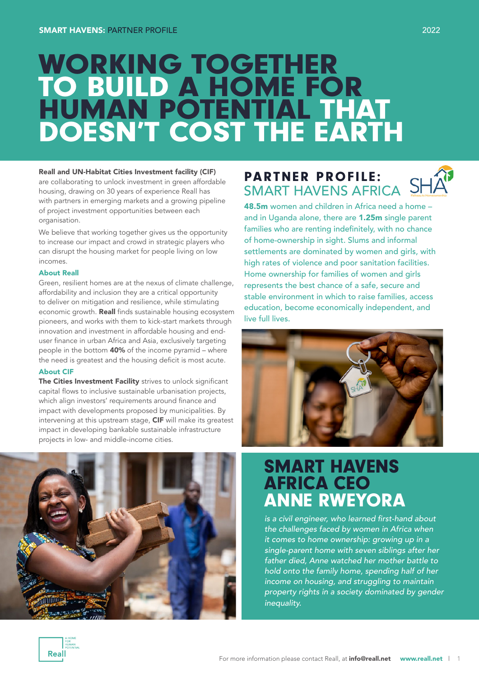# WORKING TOGETHER TO BUILD A HOME FOR HUMAN POTENTIAL THAT DOESN'T COST THE EARTH

#### Reall and UN-Habitat Cities Investment facility (CIF)

are collaborating to unlock investment in green affordable housing, drawing on 30 years of experience Reall has with partners in emerging markets and a growing pipeline of project investment opportunities between each organisation.

We believe that working together gives us the opportunity to increase our impact and crowd in strategic players who can disrupt the housing market for people living on low incomes.

#### About Reall

Green, resilient homes are at the nexus of climate challenge, affordability and inclusion they are a critical opportunity to deliver on mitigation and resilience, while stimulating economic growth. Reall finds sustainable housing ecosystem pioneers, and works with them to kick-start markets through innovation and investment in affordable housing and enduser finance in urban Africa and Asia, exclusively targeting people in the bottom 40% of the income pyramid – where the need is greatest and the housing deficit is most acute.

#### About CIF

The Cities Investment Facility strives to unlock significant capital flows to inclusive sustainable urbanisation projects, which align investors' requirements around finance and impact with developments proposed by municipalities. By intervening at this upstream stage, CIF will make its greatest impact in developing bankable sustainable infrastructure projects in low- and middle-income cities.



# **PARTNER PROFILE:**<br>SMART HAVENS AFRICA

48.5m women and children in Africa need a home – and in Uganda alone, there are 1.25m single parent families who are renting indefinitely, with no chance of home-ownership in sight. Slums and informal settlements are dominated by women and girls, with high rates of violence and poor sanitation facilities. Home ownership for families of women and girls represents the best chance of a safe, secure and stable environment in which to raise families, access education, become economically independent, and live full lives.



## SMART HAVENS AFRICA CEO ANNE RWEYORA

is a civil engineer, who learned first-hand about the challenges faced by women in Africa when it comes to home ownership: growing up in a single-parent home with seven siblings after her father died, Anne watched her mother battle to hold onto the family home, spending half of her income on housing, and struggling to maintain property rights in a society dominated by gender inequality.